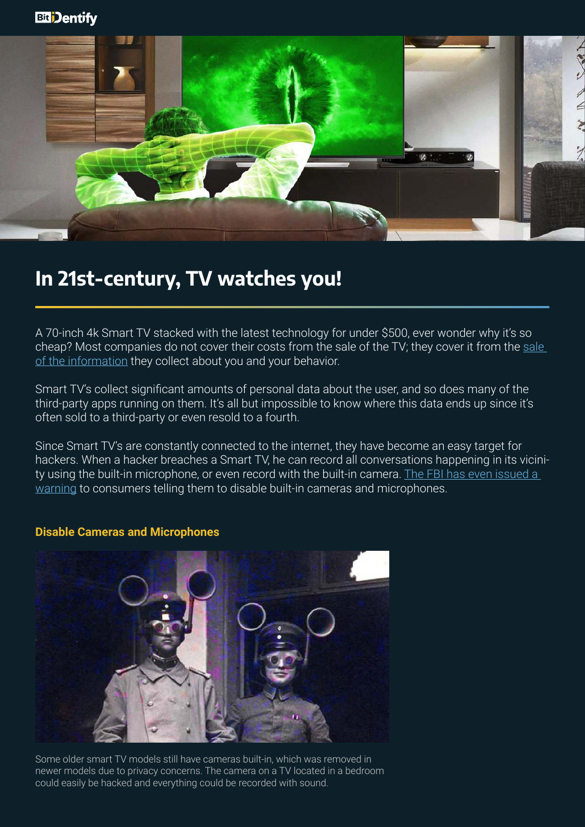

## **In 21st-century, TV watches you!**

A 70-inch 4k Smart TV stacked with the latest technology for under \$500, ever wonder why it's so cheap? Most companies do not cover their costs from the [sale](https://www.theverge.com/2019/1/7/18172397/airplay-2-homekit-vizio-tv-bill-baxter-interview-vergecast-ces-2019) of the TV; they cover it from the sale [of the information](https://www.theverge.com/2019/1/7/18172397/airplay-2-homekit-vizio-tv-bill-baxter-interview-vergecast-ces-2019) they collect about you and your behavior.

Smart TV's collect significant amounts of personal data about the user, and so does many of the third-party apps running on them. It's all but impossible to know where this data ends up since it's often sold to a third-party or even resold to a fourth.

Since Smart TV's are constantly connected to the internet, they have become an easy target for hackers. When a hacker breaches a Smart TV, he can record all conversations happening in its vicinity using the built-in microphone, or even record with the built-in camera. The FBI has even issued a [warning](https://www.fbi.gov/contact-us/field-offices/portland/news/press-releases/tech-tuesdaysmart-tvs) to consumers telling them to disable built-in cameras and microphones.

**Disable Cameras and Microphones**

Some older smart TV models still have cameras built-in, which was removed in newer models due to privacy concerns. The camera on a TV located in a bedroom could easily be hacked and everything could be recorded with sound.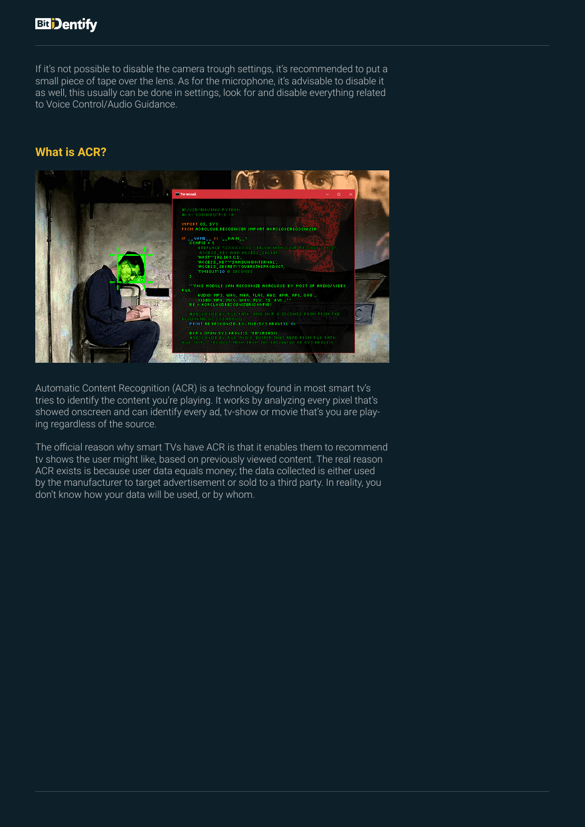If it's not possible to disable the camera trough settings, it's recommended to put a small piece of tape over the lens. As for the microphone, it's advisable to disable it as well, this usually can be done in settings, look for and disable everything related to Voice Control/Audio Guidance.

### **What is ACR?**



Automatic Content Recognition (ACR) is a technology found in most smart tv's tries to identify the content you're playing. It works by analyzing every pixel that's showed onscreen and can identify every ad, tv-show or movie that's you are playing regardless of the source.

The official reason why smart TVs have ACR is that it enables them to recommend tv shows the user might like, based on previously viewed content. The real reason ACR exists is because user data equals money; the data collected is either used by the manufacturer to target advertisement or sold to a third party. In reality, you don't know how your data will be used, or by whom.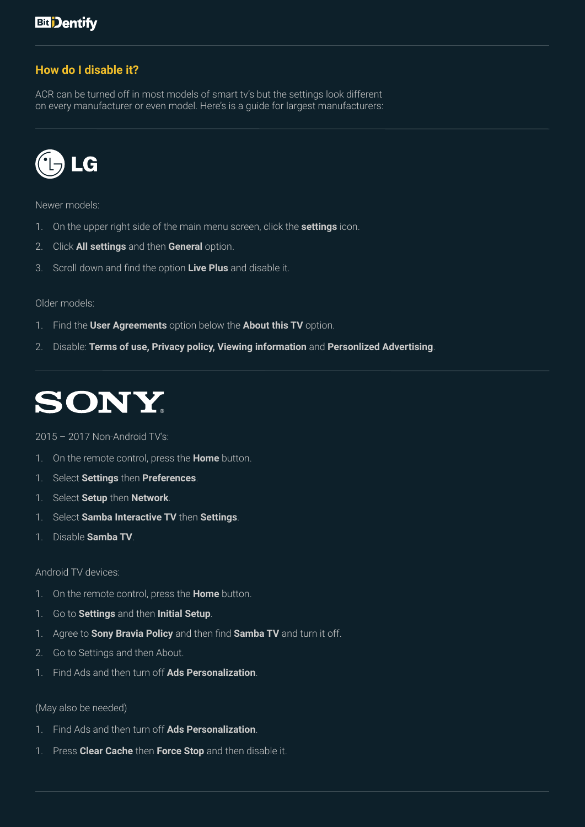### **How do I disable it?**

ACR can be turned off in most models of smart tv's but the settings look different on every manufacturer or even model. Here's is a guide for largest manufacturers:



Newer models:

- 1. On the upper right side of the main menu screen, click the **settings** icon.
- 2. Click **All settings** and then **General** option.
- 3. Scroll down and find the option **Live Plus** and disable it.

#### Older models:

- 1. Find the **User Agreements** option below the **About this TV** option.
- 2. Disable: **Terms of use, Privacy policy, Viewing information** and **Personlized Advertising**.



### 2015 – 2017 Non-Android TV's:

- 1. On the remote control, press the **Home** button.
- 1. Select **Settings** then **Preferences**.
- 1. Select **Setup** then **Network**.
- 1. Select **Samba Interactive TV** then **Settings**.
- 1. Disable **Samba TV**.

### Android TV devices:

- 1. On the remote control, press the **Home** button.
- 1. Go to **Settings** and then **Initial Setup**.
- 1. Agree to **Sony Bravia Policy** and then find **Samba TV** and turn it off.
- 2. Go to Settings and then About.
- 1. Find Ads and then turn off **Ads Personalization**.

(May also be needed)

- 1. Find Ads and then turn off **Ads Personalization**.
- 1. Press **Clear Cache** then **Force Stop** and then disable it.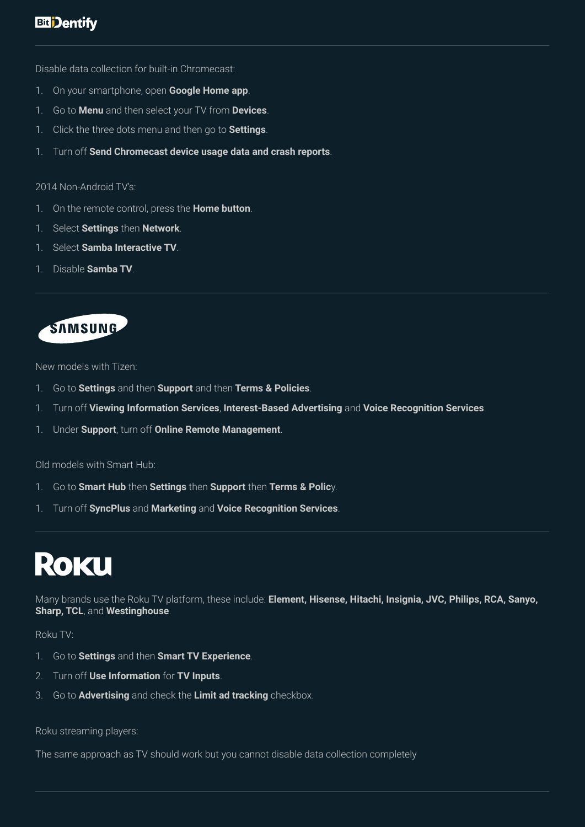Disable data collection for built-in Chromecast:

- 1. On your smartphone, open **Google Home app**.
- 1. Go to **Menu** and then select your TV from **Devices**.
- 1. Click the three dots menu and then go to **Settings**.
- 1. Turn off **Send Chromecast device usage data and crash reports**.

#### 2014 Non-Android TV's:

- 1. On the remote control, press the **Home button**.
- 1. Select **Settings** then **Network**.
- 1. Select **Samba Interactive TV**.
- 1. Disable **Samba TV**.

## **SAMSUNG**

New models with Tizen:

- 1. Go to **Settings** and then **Support** and then **Terms & Policies**.
- 1. Turn off **Viewing Information Services**, **Interest-Based Advertising** and **Voice Recognition Services**.
- 1. Under **Support**, turn off **Online Remote Management**.

Old models with Smart Hub:

- 1. Go to **Smart Hub** then **Settings** then **Support** then **Terms & Polic**y.
- 1. Turn off **SyncPlus** and **Marketing** and **Voice Recognition Services**.

## **ROKU**

Many brands use the Roku TV platform, these include: **Element, Hisense, Hitachi, Insignia, JVC, Philips, RCA, Sanyo, Sharp, TCL**, and **Westinghouse**.

Roku TV:

- 1. Go to **Settings** and then **Smart TV Experience**.
- 2. Turn off **Use Information** for **TV Inputs**.
- 3. Go to **Advertising** and check the **Limit ad tracking** checkbox.

Roku streaming players:

The same approach as TV should work but you cannot disable data collection completely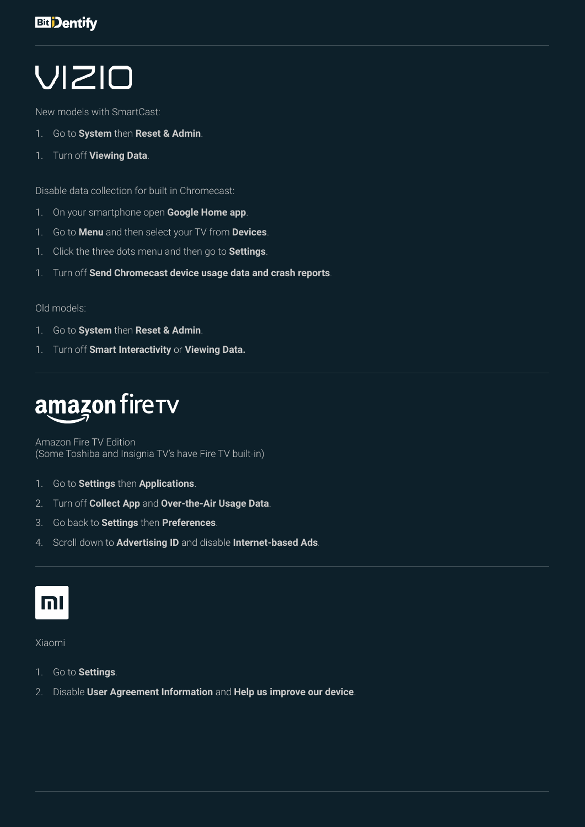# VIZIO

New models with SmartCast:

- 1. Go to **System** then **Reset & Admin**.
- 1. Turn off **Viewing Data**.

Disable data collection for built in Chromecast:

- 1. On your smartphone open **Google Home app**.
- 1. Go to **Menu** and then select your TV from **Devices**.
- 1. Click the three dots menu and then go to **Settings**.
- 1. Turn off **Send Chromecast device usage data and crash reports**.

### Old models:

- 1. Go to **System** then **Reset & Admin**.
- 1. Turn off **Smart Interactivity** or **Viewing Data.**

## amazon firerv

Amazon Fire TV Edition (Some Toshiba and Insignia TV's have Fire TV built-in)

- 1. Go to **Settings** then **Applications**.
- 2. Turn off **Collect App** and **Over-the-Air Usage Data**.
- 3. Go back to **Settings** then **Preferences**.
- 4. Scroll down to **Advertising ID** and disable **Internet-based Ads**.

## m

### Xiaomi

- 1. Go to **Settings**.
- 2. Disable **User Agreement Information** and **Help us improve our device**.